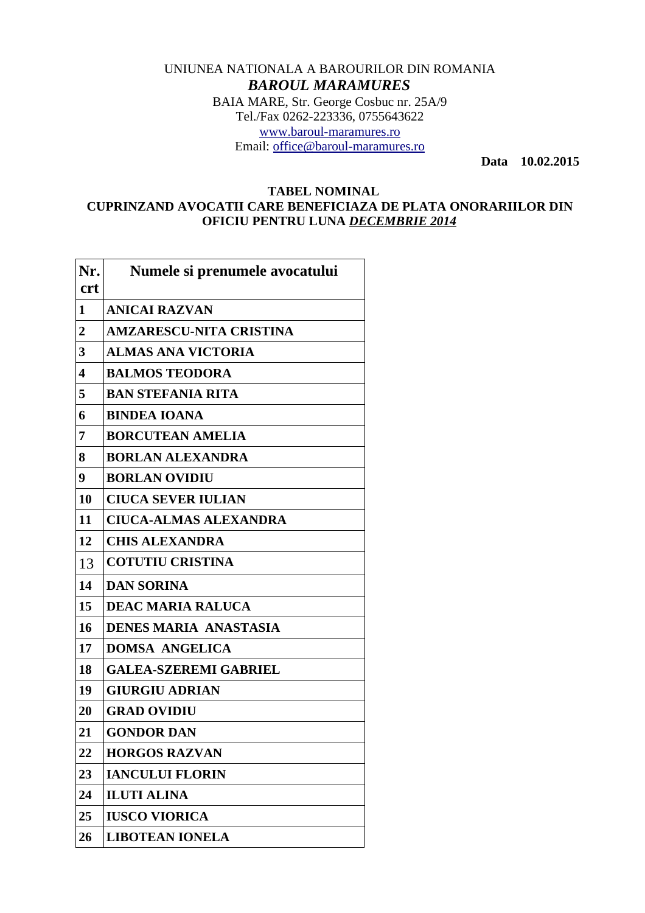## UNIUNEA NATIONALA A BAROURILOR DIN ROMANIA *BAROUL MARAMURES* BAIA MARE, Str. George Cosbuc nr. 25A/9 Tel./Fax 0262-223336, 0755643622 [www.baroul-maramures.ro](http://www.baroul-maramures.ro/) Email: [office@baroul-maramures.ro](mailto:office@baroul-maramures.ro)

 **Data 10.02.2015**

## **TABEL NOMINAL CUPRINZAND AVOCATII CARE BENEFICIAZA DE PLATA ONORARIILOR DIN OFICIU PENTRU LUNA** *DECEMBRIE 2014*

| Nr.<br><b>crt</b>      | Numele si prenumele avocatului |
|------------------------|--------------------------------|
| $\mathbf{1}$           | <b>ANICAI RAZVAN</b>           |
| $\overline{2}$         | <b>AMZARESCU-NITA CRISTINA</b> |
| 3                      | <b>ALMAS ANA VICTORIA</b>      |
| $\boldsymbol{\Lambda}$ | <b>BALMOS TEODORA</b>          |
| 5                      | <b>BAN STEFANIA RITA</b>       |
| 6                      | <b>BINDEA IOANA</b>            |
| 7                      | <b>BORCUTEAN AMELIA</b>        |
| 8                      | <b>BORLAN ALEXANDRA</b>        |
| 9                      | <b>BORLAN OVIDIU</b>           |
| 10                     | <b>CIUCA SEVER IULIAN</b>      |
| 11                     | <b>CIUCA-ALMAS ALEXANDRA</b>   |
| 12                     | <b>CHIS ALEXANDRA</b>          |
| 13                     | <b>COTUTIU CRISTINA</b>        |
| 14                     | <b>DAN SORINA</b>              |
| 15                     | <b>DEAC MARIA RALUCA</b>       |
| 16                     | <b>DENES MARIA ANASTASIA</b>   |
| 17                     | <b>DOMSA ANGELICA</b>          |
| 18                     | <b>GALEA-SZEREMI GABRIEL</b>   |
| 19                     | <b>GIURGIU ADRIAN</b>          |
| 20                     | <b>GRAD OVIDIU</b>             |
| 21                     | <b>GONDOR DAN</b>              |
| 22                     | <b>HORGOS RAZVAN</b>           |
| 23                     | <b>IANCULUI FLORIN</b>         |
| 24                     | <b>ILUTI ALINA</b>             |
| 25                     | <b>IUSCO VIORICA</b>           |
| 26                     | <b>LIBOTEAN IONELA</b>         |